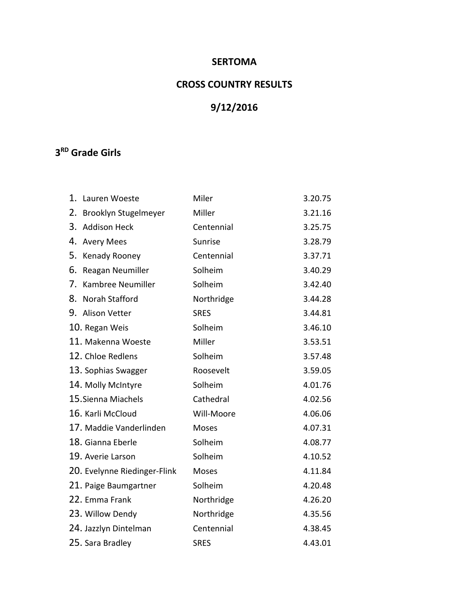## **SERTOMA**

# **CROSS COUNTRY RESULTS**

# **9/12/2016**

## **3 RD Grade Girls**

| 1. | Lauren Woeste                | Miler       | 3.20.75 |
|----|------------------------------|-------------|---------|
| 2. | Brooklyn Stugelmeyer         | Miller      | 3.21.16 |
| 3. | <b>Addison Heck</b>          | Centennial  | 3.25.75 |
| 4. | <b>Avery Mees</b>            | Sunrise     | 3.28.79 |
| 5. | Kenady Rooney                | Centennial  | 3.37.71 |
| 6. | Reagan Neumiller             | Solheim     | 3.40.29 |
| 7. | Kambree Neumiller            | Solheim     | 3.42.40 |
| 8. | Norah Stafford               | Northridge  | 3.44.28 |
|    | 9. Alison Vetter             | <b>SRES</b> | 3.44.81 |
|    | 10. Regan Weis               | Solheim     | 3.46.10 |
|    | 11. Makenna Woeste           | Miller      | 3.53.51 |
|    | 12. Chloe Redlens            | Solheim     | 3.57.48 |
|    | 13. Sophias Swagger          | Roosevelt   | 3.59.05 |
|    | 14. Molly McIntyre           | Solheim     | 4.01.76 |
|    | 15. Sienna Miachels          | Cathedral   | 4.02.56 |
|    | 16. Karli McCloud            | Will-Moore  | 4.06.06 |
|    | 17. Maddie Vanderlinden      | Moses       | 4.07.31 |
|    | 18. Gianna Eberle            | Solheim     | 4.08.77 |
|    | 19. Averie Larson            | Solheim     | 4.10.52 |
|    | 20. Evelynne Riedinger-Flink | Moses       | 4.11.84 |
|    | 21. Paige Baumgartner        | Solheim     | 4.20.48 |
|    | 22. Emma Frank               | Northridge  | 4.26.20 |
|    | 23. Willow Dendy             | Northridge  | 4.35.56 |
|    | 24. Jazzlyn Dintelman        | Centennial  | 4.38.45 |
|    | 25. Sara Bradley             | <b>SRES</b> | 4.43.01 |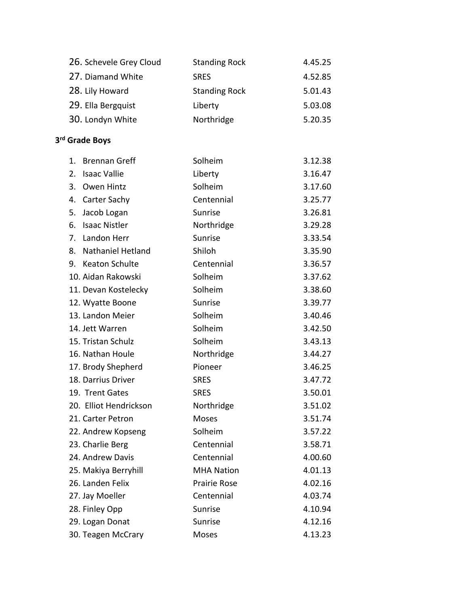| 26. Schevele Grey Cloud                | <b>Standing Rock</b> | 4.45.25 |
|----------------------------------------|----------------------|---------|
| 27. Diamand White                      | <b>SRES</b>          | 4.52.85 |
| 28. Lily Howard                        | <b>Standing Rock</b> | 5.01.43 |
| 29. Ella Bergquist                     | Liberty              | 5.03.08 |
| 30. Londyn White                       | Northridge           | 5.20.35 |
|                                        |                      |         |
| 3rd Grade Boys                         |                      |         |
| $\mathbf{1}$ .<br><b>Brennan Greff</b> | Solheim              | 3.12.38 |
| 2.<br><b>Isaac Vallie</b>              | Liberty              | 3.16.47 |
| 3.<br>Owen Hintz                       | Solheim              | 3.17.60 |
| Carter Sachy<br>4.                     | Centennial           | 3.25.77 |
| Jacob Logan<br>5.                      | Sunrise              | 3.26.81 |
| 6.<br><b>Isaac Nistler</b>             | Northridge           | 3.29.28 |
| Landon Herr<br>7.                      | Sunrise              | 3.33.54 |
| <b>Nathaniel Hetland</b><br>8.         | Shiloh               | 3.35.90 |
| 9. Keaton Schulte                      | Centennial           | 3.36.57 |
| 10. Aidan Rakowski                     | Solheim              | 3.37.62 |
| 11. Devan Kostelecky                   | Solheim              | 3.38.60 |
| 12. Wyatte Boone                       | Sunrise              | 3.39.77 |
| 13. Landon Meier                       | Solheim              | 3.40.46 |
| 14. Jett Warren                        | Solheim              | 3.42.50 |
| 15. Tristan Schulz                     | Solheim              | 3.43.13 |
| 16. Nathan Houle                       | Northridge           | 3.44.27 |
| 17. Brody Shepherd                     | Pioneer              | 3.46.25 |
| 18. Darrius Driver                     | <b>SRES</b>          | 3.47.72 |
| 19. Trent Gates                        | <b>SRES</b>          | 3.50.01 |
| 20. Elliot Hendrickson                 | Northridge           | 3.51.02 |
| 21. Carter Petron                      | Moses                | 3.51.74 |
| 22. Andrew Kopseng                     | Solheim              | 3.57.22 |
| 23. Charlie Berg                       | Centennial           | 3.58.71 |
| 24. Andrew Davis                       | Centennial           | 4.00.60 |
| 25. Makiya Berryhill                   | <b>MHA Nation</b>    | 4.01.13 |
| 26. Landen Felix                       | <b>Prairie Rose</b>  | 4.02.16 |
| 27. Jay Moeller                        | Centennial           | 4.03.74 |
| 28. Finley Opp                         | Sunrise              | 4.10.94 |
| 29. Logan Donat                        | Sunrise              | 4.12.16 |
| 30. Teagen McCrary                     | Moses                | 4.13.23 |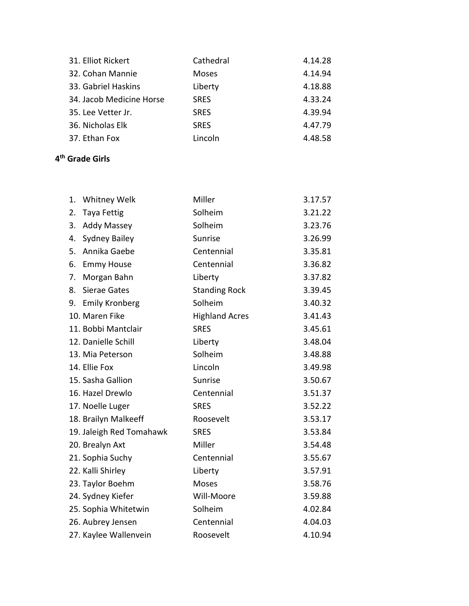| 31. Elliot Rickert       | Cathedral    | 4.14.28 |
|--------------------------|--------------|---------|
| 32. Cohan Mannie         | <b>Moses</b> | 4.14.94 |
| 33. Gabriel Haskins      | Liberty      | 4.18.88 |
| 34. Jacob Medicine Horse | <b>SRES</b>  | 4.33.24 |
| 35. Lee Vetter Jr.       | <b>SRES</b>  | 4.39.94 |
| 36. Nicholas Elk         | <b>SRES</b>  | 4.47.79 |
| 37. Ethan Fox            | Lincoln      | 4.48.58 |

#### **4 th Grade Girls**

| 1. | Whitney Welk             | Miller                | 3.17.57 |
|----|--------------------------|-----------------------|---------|
| 2. | Taya Fettig              | Solheim               | 3.21.22 |
| 3. | <b>Addy Massey</b>       | Solheim               | 3.23.76 |
| 4. | <b>Sydney Bailey</b>     | Sunrise               | 3.26.99 |
| 5. | Annika Gaebe             | Centennial            | 3.35.81 |
| 6. | <b>Emmy House</b>        | Centennial            | 3.36.82 |
| 7. | Morgan Bahn              | Liberty               | 3.37.82 |
| 8. | <b>Sierae Gates</b>      | <b>Standing Rock</b>  | 3.39.45 |
| 9. | <b>Emily Kronberg</b>    | Solheim               | 3.40.32 |
|    | 10. Maren Fike           | <b>Highland Acres</b> | 3.41.43 |
|    | 11. Bobbi Mantclair      | <b>SRES</b>           | 3.45.61 |
|    | 12. Danielle Schill      | Liberty               | 3.48.04 |
|    | 13. Mia Peterson         | Solheim               | 3.48.88 |
|    | 14. Ellie Fox            | Lincoln               | 3.49.98 |
|    | 15. Sasha Gallion        | Sunrise               | 3.50.67 |
|    | 16. Hazel Drewlo         | Centennial            | 3.51.37 |
|    | 17. Noelle Luger         | <b>SRES</b>           | 3.52.22 |
|    | 18. Brailyn Malkeeff     | Roosevelt             | 3.53.17 |
|    | 19. Jaleigh Red Tomahawk | <b>SRES</b>           | 3.53.84 |
|    | 20. Brealyn Axt          | Miller                | 3.54.48 |
|    | 21. Sophia Suchy         | Centennial            | 3.55.67 |
|    | 22. Kalli Shirley        | Liberty               | 3.57.91 |
|    | 23. Taylor Boehm         | <b>Moses</b>          | 3.58.76 |
|    | 24. Sydney Kiefer        | Will-Moore            | 3.59.88 |
|    | 25. Sophia Whitetwin     | Solheim               | 4.02.84 |
|    | 26. Aubrey Jensen        | Centennial            | 4.04.03 |
|    | 27. Kaylee Wallenvein    | Roosevelt             | 4.10.94 |
|    |                          |                       |         |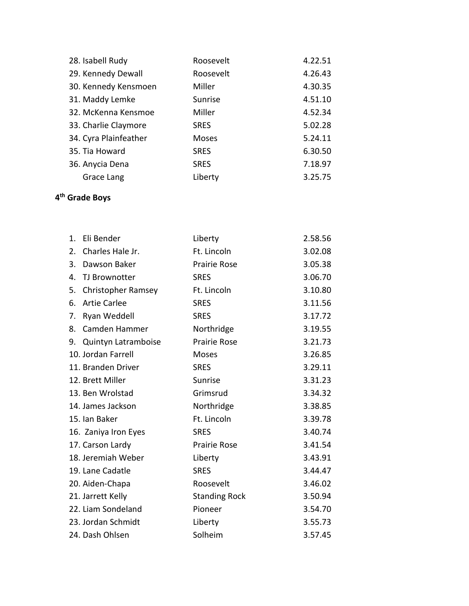| 28. Isabell Rudy      | Roosevelt    | 4.22.51 |
|-----------------------|--------------|---------|
| 29. Kennedy Dewall    | Roosevelt    | 4.26.43 |
| 30. Kennedy Kensmoen  | Miller       | 4.30.35 |
| 31. Maddy Lemke       | Sunrise      | 4.51.10 |
| 32. McKenna Kensmoe   | Miller       | 4.52.34 |
| 33. Charlie Claymore  | <b>SRES</b>  | 5.02.28 |
| 34. Cyra Plainfeather | <b>Moses</b> | 5.24.11 |
| 35. Tia Howard        | <b>SRES</b>  | 6.30.50 |
| 36. Anycia Dena       | <b>SRES</b>  | 7.18.97 |
| Grace Lang            | Liberty      | 3.25.75 |

#### **4 th Grade Boys**

| 1. | Eli Bender                | Liberty              | 2.58.56 |
|----|---------------------------|----------------------|---------|
| 2. | Charles Hale Jr.          | Ft. Lincoln          | 3.02.08 |
| 3. | Dawson Baker              | <b>Prairie Rose</b>  | 3.05.38 |
| 4. | TJ Brownotter             | <b>SRES</b>          | 3.06.70 |
| 5. | <b>Christopher Ramsey</b> | Ft. Lincoln          | 3.10.80 |
| 6. | <b>Artie Carlee</b>       | <b>SRES</b>          | 3.11.56 |
| 7. | Ryan Weddell              | <b>SRES</b>          | 3.17.72 |
| 8. | Camden Hammer             | Northridge           | 3.19.55 |
| 9. | Quintyn Latramboise       | Prairie Rose         | 3.21.73 |
|    | 10. Jordan Farrell        | <b>Moses</b>         | 3.26.85 |
|    | 11. Branden Driver        | <b>SRES</b>          | 3.29.11 |
|    | 12. Brett Miller          | Sunrise              | 3.31.23 |
|    | 13. Ben Wrolstad          | Grimsrud             | 3.34.32 |
|    | 14. James Jackson         | Northridge           | 3.38.85 |
|    | 15. Ian Baker             | Ft. Lincoln          | 3.39.78 |
|    | 16. Zaniya Iron Eyes      | <b>SRES</b>          | 3.40.74 |
|    | 17. Carson Lardy          | <b>Prairie Rose</b>  | 3.41.54 |
|    | 18. Jeremiah Weber        | Liberty              | 3.43.91 |
|    | 19. Lane Cadatle          | <b>SRES</b>          | 3.44.47 |
|    | 20. Aiden-Chapa           | Roosevelt            | 3.46.02 |
|    | 21. Jarrett Kelly         | <b>Standing Rock</b> | 3.50.94 |
|    | 22. Liam Sondeland        | Pioneer              | 3.54.70 |
|    | 23. Jordan Schmidt        | Liberty              | 3.55.73 |
|    | 24. Dash Ohlsen           | Solheim              | 3.57.45 |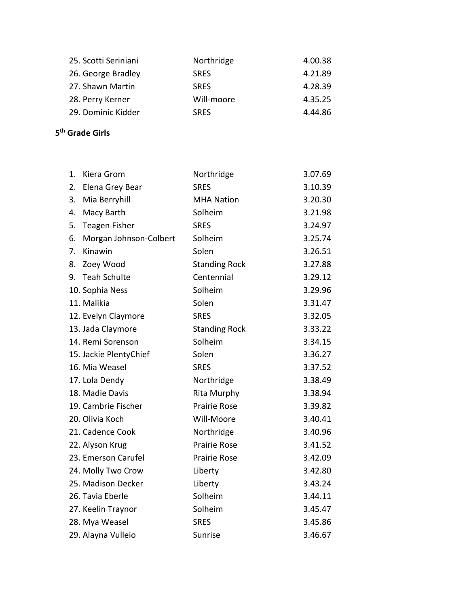| 25. Scotti Seriniani | Northridge  | 4.00.38 |
|----------------------|-------------|---------|
| 26. George Bradley   | <b>SRES</b> | 4.21.89 |
| 27. Shawn Martin     | <b>SRFS</b> | 4.28.39 |
| 28. Perry Kerner     | Will-moore  | 4.35.25 |
| 29. Dominic Kidder   | <b>SRFS</b> | 4.44.86 |

#### **5 th Grade Girls**

| 1. | Kiera Grom             | Northridge           | 3.07.69 |
|----|------------------------|----------------------|---------|
| 2. | Elena Grey Bear        | <b>SRES</b>          | 3.10.39 |
| 3. | Mia Berryhill          | <b>MHA Nation</b>    | 3.20.30 |
| 4. | Macy Barth             | Solheim              | 3.21.98 |
| 5. | <b>Teagen Fisher</b>   | <b>SRES</b>          | 3.24.97 |
| 6. | Morgan Johnson-Colbert | Solheim              | 3.25.74 |
| 7. | Kinawin                | Solen                | 3.26.51 |
| 8. | Zoey Wood              | <b>Standing Rock</b> | 3.27.88 |
| 9. | <b>Teah Schulte</b>    | Centennial           | 3.29.12 |
|    | 10. Sophia Ness        | Solheim              | 3.29.96 |
|    | 11. Malikia            | Solen                | 3.31.47 |
|    | 12. Evelyn Claymore    | <b>SRES</b>          | 3.32.05 |
|    | 13. Jada Claymore      | <b>Standing Rock</b> | 3.33.22 |
|    | 14. Remi Sorenson      | Solheim              | 3.34.15 |
|    | 15. Jackie PlentyChief | Solen                | 3.36.27 |
|    | 16. Mia Weasel         | <b>SRES</b>          | 3.37.52 |
|    | 17. Lola Dendy         | Northridge           | 3.38.49 |
|    | 18. Madie Davis        | Rita Murphy          | 3.38.94 |
|    | 19. Cambrie Fischer    | <b>Prairie Rose</b>  | 3.39.82 |
|    | 20. Olivia Koch        | Will-Moore           | 3.40.41 |
|    | 21. Cadence Cook       | Northridge           | 3.40.96 |
|    | 22. Alyson Krug        | <b>Prairie Rose</b>  | 3.41.52 |
|    | 23. Emerson Carufel    | <b>Prairie Rose</b>  | 3.42.09 |
|    | 24. Molly Two Crow     | Liberty              | 3.42.80 |
|    | 25. Madison Decker     | Liberty              | 3.43.24 |
|    | 26. Tavia Eberle       | Solheim              | 3.44.11 |
|    | 27. Keelin Traynor     | Solheim              | 3.45.47 |
|    | 28. Mya Weasel         | <b>SRES</b>          | 3.45.86 |
|    | 29. Alayna Vulleio     | Sunrise              | 3.46.67 |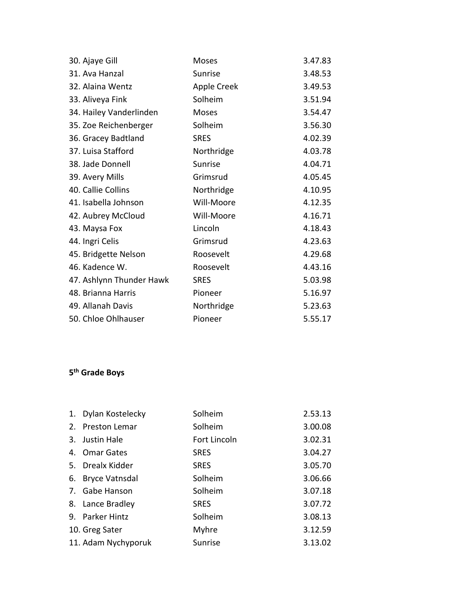| 30. Ajaye Gill           | Moses       | 3.47.83 |
|--------------------------|-------------|---------|
| 31. Ava Hanzal           | Sunrise     | 3.48.53 |
| 32. Alaina Wentz         | Apple Creek | 3.49.53 |
| 33. Aliveya Fink         | Solheim     | 3.51.94 |
| 34. Hailey Vanderlinden  | Moses       | 3.54.47 |
| 35. Zoe Reichenberger    | Solheim     | 3.56.30 |
| 36. Gracey Badtland      | <b>SRES</b> | 4.02.39 |
| 37. Luisa Stafford       | Northridge  | 4.03.78 |
| 38. Jade Donnell         | Sunrise     | 4.04.71 |
| 39. Avery Mills          | Grimsrud    | 4.05.45 |
| 40. Callie Collins       | Northridge  | 4.10.95 |
| 41. Isabella Johnson     | Will-Moore  | 4.12.35 |
| 42. Aubrey McCloud       | Will-Moore  | 4.16.71 |
| 43. Maysa Fox            | Lincoln     | 4.18.43 |
| 44. Ingri Celis          | Grimsrud    | 4.23.63 |
| 45. Bridgette Nelson     | Roosevelt   | 4.29.68 |
| 46. Kadence W.           | Roosevelt   | 4.43.16 |
| 47. Ashlynn Thunder Hawk | <b>SRES</b> | 5.03.98 |
| 48. Brianna Harris       | Pioneer     | 5.16.97 |
| 49. Allanah Davis        | Northridge  | 5.23.63 |
| 50. Chloe Ohlhauser      | Pioneer     | 5.55.17 |

#### **5 th Grade Boys**

|    | 1. Dylan Kostelecky   | Solheim      | 2.53.13 |
|----|-----------------------|--------------|---------|
| 2. | <b>Preston Lemar</b>  | Solheim      | 3.00.08 |
|    | 3. Justin Hale        | Fort Lincoln | 3.02.31 |
|    | 4. Omar Gates         | <b>SRES</b>  | 3.04.27 |
|    | 5. Drealx Kidder      | <b>SRES</b>  | 3.05.70 |
| 6. | <b>Bryce Vatnsdal</b> | Solheim      | 3.06.66 |
|    | 7. Gabe Hanson        | Solheim      | 3.07.18 |
|    | 8. Lance Bradley      | <b>SRES</b>  | 3.07.72 |
|    | 9. Parker Hintz       | Solheim      | 3.08.13 |
|    | 10. Greg Sater        | Myhre        | 3.12.59 |
|    | 11. Adam Nychyporuk   | Sunrise      | 3.13.02 |